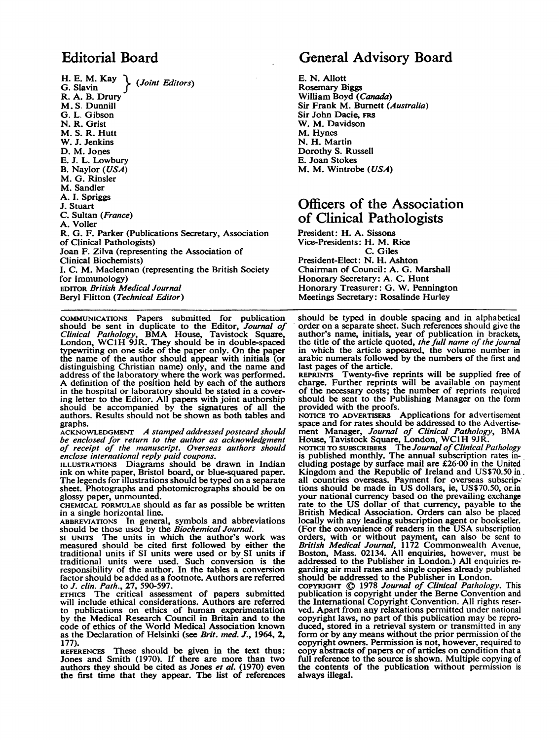#### Editorial Board

H. E. M. Kay  $\Big\}$  (Joint Editors) R. A. B. Drury M. S. Dunnill G. L. Gibson N. R. Grist M- S. R. Hutt W. J. Jenkins D. M. Jones E. J. L. Lowbury B. Naylor (USA) M. G. Rinsler M. Sandler A. I. Spriggs J. Stuart C. Sultan (France) A. Voller R. G. F. Parker (Publications Secretary, Association of Clinical Pathologists) Joan F. Zilva (representing the Association of Clinical Biochemists) I. C. M. Maclennan (representing the British Society for Immunology) EDITOR British Medical Journal Beryl Flitton (Technical Editor)

COMMUNICATIONS Papers submitted for publication should be sent in duplicate to the Editor, *Journal of Clinical Pathology*, BMA House, Tavistock Square,<br>London, WC1H 9JR. They should be in double-spaced typewriting on one side of the paper only. On the paper the name of the author should appear with initials (or distinguishing Christian name) only, and the name and address of the laboratory where the work was performed. A definition of the position held by each of the authors in the hospital or laboratory should be stated in a covering letter to the Editor. All papers with joint authorship should be accompanied by the signatures of all the authors. Results should not be shown as both tables and graphs.

ACKNOWLEDGMENT A stamped addressed postcard should be enclosed for return to the author as acknowledgment of receipt of the manuscript. Overseas authors should enclose international reply paid coupons.

ILLUSTRATIONS Diagrams should be drawn in Indian ink on white paper, Bristol board, or blue-squared paper. The legends for illustrations should be typed on a separate sheet. Photographs and photomicrographs should be on glossy paper, unmounted.

CHEMICAL FORMULAE should as far as possible be written in a single horizontal line.

ABBREVIATIONS In general, symbols and abbreviations should be those used by the *Biochemical Journal*.<br>SI UNITS The units in which the author's work was

measured should be cited first followed by either the traditional units if SI units were used or by SI units if traditional units were used. Such conversion is the responsibility of the author. In the tables a conversion factor should be added as a footnote. Authors are referred<br>to *J. clin. Path.*, 27, 590-597.

ETHICS The critical assessment of papers submitted will include ethical considerations. Authors are referred to publications on ethics of human experimentation by the Medical Research Council in Britain and to the code of ethics of the World Medical Association known as the Declaration of Helsinki (see Brit. med. J., 1964, 2, 177).

REFERENCES These should be given in the text thus: Jones and Smith (1970). If there are more than two authors they should be cited as Jones *et al.* (1970) even the first time that they appear. The list of references

#### General Advisory Board

E. N. Allott Rosemary Biggs William Boyd (Canada) Sir Frank M. Burnett (Australia) Sir John Dacie, FRS W. M. Davidson M. Hynes N. H. Martin Dorothy S. Russell E. Joan Stokes M. M. Wintrobe (USA)

#### Officers of the Association of Clinical Pathologists

President: H. A. Sissons Vice-Presidents: H. M. Rice C. Giles President-Elect: N. H. Ashton Chairman of Council: A. G. Marshall Honorary Secretary: A. C. Hunt Honorary Treasurer: G. W. Pennington Meetings Secretary: Rosalinde Hurley

should be typed in double spacing and in alphabetical order on a separate sheet. Such references should give the author's name, initials, year of publication in brackets, the title of the article quoted, the full name of the journal in which the article appeared, the volume number in arabic numerals followed by the numbers of the first and last pages of the article.

REPRINTS Twenty-five reprints will be supplied free of charge. Further reprints will be available on payment of the necessary costs; the number of reprints required should be sent to the Publishing Manager on the form provided with the proofs.

NOTICE TO ADVERTISERS Applications for advertisement space and for rates should be addressed to the Advertisement Manager, Journal of Clinical Pathology, BMA<br>House, Tavistock Square, London, WC1H 9JR.<br>NOTICE TO SUBSCRIBERS The Journal of Clinical Pathology<br>is published monthly. The annual subscription rates in-

cluding postage by surface mail are £26-00 in the United Kingdom and the Republic of Ireland and US\$70.50 in, all countries overseas. Payment for overseas subscriptions should be made in US dollars, ie, US\$70.50, or in your national currency based on the prevailing exchange rate to the US dollar of that currency, payable to the British Medical Association. Orders can also be placed locally with any leading subscription agent or bookseller. (For the convenience of readers in the USA subscription orders, with or without payment, can also be sent to British Medical Journal, 1172 Commonwealth Avenue, Boston, Mass. 02134. All enquiries, however, must be addressed to the Publisher in London.) All enquiries regarding air mail rates and single copies already published should be addressed to the Publisher in London.

COPYRIGHT ©) 1978 Journal of Clinical Pathology. This publication is copyright under the Berme Convention and the International Copyright Convention. All rights reserved. Apart from any relaxations permitted under national copyright laws, no part of this publication may be reproduced, stored in a retrieval system or transmitted in any form or by any means without the prior permission of the copyright owners. Permission is not, however, required to copy abstracts of papers or of articles on condition that <sup>a</sup> full reference to the source is shown. Multiple copying of the contents of the publication without permission is always illegal.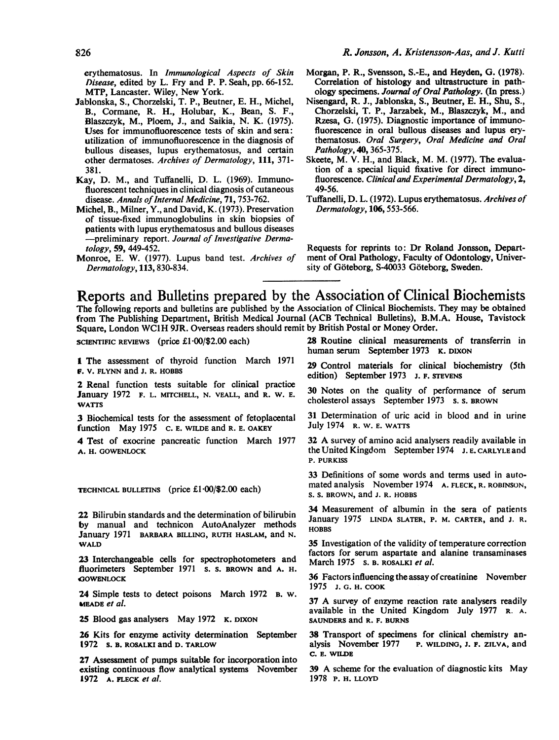erythematosus. In Immunological Aspects of Skin Disease, edited by L. Fry and P. P. Seah, pp. 66-152. MTP, Lancaster. Wiley, New York.

- Jablonska, S., Chorzelski, T. P., Beutner, E. H., Michel, B., Cormane, R. H., Holubar, K., Bean, S. F., Blaszczyk, M., Ploem, J., and Saikia, N. K. (1975). Uses for immunofluorescence tests of skin and sera: utilization of immunofluorescence in the diagnosis of bullous diseases, lupus erythematosus, and certain other dermatoses. Archives of Dermatology, 111, 371- 381.
- Kay, D. M., and Tuffanelli, D. L. (1969). Immunofluorescent techniques in clinical diagnosis of cutaneous disease. Annals of Internal Medicine, 71, 753-762.
- Michel, B., Milner, Y., and David, K. (1973). Preservation of tissue-fixed immunoglobulins in skin biopsies of patients with lupus erythematosus and bullous diseases -preliminary report. Journal of Investigative Dermatology, 59, 449-452.
- Monroe, E. W. (1977). Lupus band test. Archives of Dermatology, 113,830-834.
- Morgan, P. R., Svensson, S.-E., and Heyden, G. (1978). Correlation of histology and ultrastructure in pathology specimens. Journal of Oral Pathology. (In press.)
- Nisengard, R. J., Jablonska, S., Beutner, E. H., Shu, S., Chorzelski, T. P., Jarzabek, M., Blaszczyk, M., and Rzesa, G. (1975). Diagnostic importance of immunofluorescence in oral bullous diseases and lupus erythematosus. Oral Surgery, Oral Medicine and Oral Pathology, 40, 365-375.
- Skeete, M. V. H., and Black, M. M. (1977). The evaluation of a special liquid fixative for direct immunofluorescence. Clinical and Experimental Dermatology, 2, 49-56.
- Tuffanelli, D. L. (1972). Lupus erythematosus. Archives of Dermatology, 106,553-566.

Requests for reprints to: Dr Roland Jonsson, Department of Oral Pathology, Faculty of Odontology, University of Göteborg, S-40033 Göteborg, Sweden.

## Reports and Bulletins prepared by the Association of Clinical Biochemists

The following reports and bulletins are published by the Association of Clinical Biochemists. They may be obtained from The Publishing Department, British Medical Journal (ACB Technical Bulletins), B.M.A. House, Tavistock Square, London WClH 9JR. Overseas readers should remit by British Postal or Money Order.

SCIENTIFIC REVIEWS (price £1-00/\$2.00 each)

I The assessment of thyroid function March 1971 F. V. FLYNN and J. R. HOBBS

2 Renal function tests suitable for clinical practice January 1972 F. L. MITCHELL, N. VEALL, and R. W. E. **WATTS** 

3 Biochemical tests for the assessment of fetoplacental function May 1975 C. E. WILDE and R. E. OAKEY

4 Test of exocrine pancreatic function March 1977 A. H. GOWENLOCK

TECHNICAL BULLETINS (price £1.00/\$2.00 each)

22 Bilirubin standards and the determination of bilirubin by manual and technicon AutoAnalyzer methods January 1971 BARBARA BILLING, RUTH HASLAM, and N. WALD

23 Interchangeable cells for spectrophotometers and fluorimeters September 1971 S. s. BROwN and A. H. **GOWENLOCK** 

24 Simple tests to detect poisons March 1972 B. w. meade et al.

25 Blood gas analysers May 1972 K. DIXON

26 Kits for enzyme activity determination September 1972 s. B. ROSALKI and D. TARLOW

27 Assessment of pumps suitable for incorporation into existing continuous flow analytical systems November 1972 A. FLECK et al.

28 Routine clinical measurements of transferrin in human serum September 1973 K. DIXON

29 Control materials for clinical biochemistry (5th edition) September 1973 J. F. STEVENS

30 Notes on the quality of performance of serum cholesterol assays September 1973 s. s. BROWN

31 Determination of uric acid in blood and in utrine July 1974 R. W. E. WATTS

<sup>32</sup> A survey of amino acid analysers readily available in the United Kingdom September 1974 J. E. CARLYLE and P. PURKISS

33 Definitions of some words and terms used in automated analysis November 1974 A. FLECK, R. ROBINSON, S. S. BROWN, and J. R. HOBBS

34 Measurement of albumin in the sera of patients January 1975 LINDA SLATER, P. M. CARTER, and J. R. **HOBBS** 

35 Investigation of the validity of temperature correction factors for serum aspartate and alanine transaminases March 1975 s. B. ROSALKI et al.

36 Factors influencing the assay of creatinine November 1975 J. G. H. COOK

<sup>37</sup> A survey of enzyme reaction rate analysers readily available in the United Kingdom July 1977 R. A. SAUNDERS and R. F. BURNS

38 Transport of specimens for clinical chemistry an-<br>alysis November 1977 P. WILDING, J. F. ZILVA, and P. WILDING, J. F. ZILVA, and C. E. WILDE

<sup>39</sup> A scheme for the evaluation of diagnostic kits May 1978 P. H. LLOYD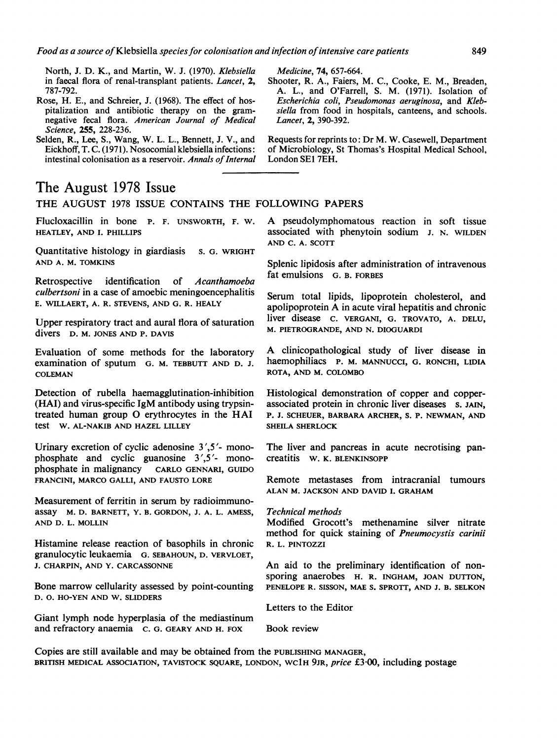North, J. D. K., and Martin, W. J. (1970). Klebsiella in faecal flora of renal-transplant patients. Lancet, 2, 787-792.

- Rose, H. E., and Schreier, J. (1968). The effect of hospitalization and antibiotic therapy on the gramnegative fecal flora. American Journal of Medical Science, 255, 228-236.
- Selden, R., Lee, S., Wang, W. L. L., Bennett, J. V., and Eickhoff, T. C. (1971). Nosocomial klebsiella infections: intestinal colonisation as a reservoir. Annals of Internal

## The August 1978 Issue

THE AUGUST <sup>1978</sup> ISSUE CONTAINS THE FOLLOWING PAPERS

Flucloxacillin in bone P. F. UNSWORTH, F. W. HEATLEY, AND I. PHILLIPS

Quantitative histology in giardiasis s. G. WRIGHT AND A. M. TOMKINS

Retrospective identification of Acanthamoeba culbertsoni in a case of amoebic meningoencephalitis E. WILLAERT, A. R. STEVENS, AND G. R. HEALY

Upper respiratory tract and aural flora of saturation divers D. M. JONES AND P. DAVIS

Evaluation of some methods for the laboratory examination of sputum G. M. TEBBUTT AND D. J. COLEMAN

Detection of rubella haemagglutination-inhibition (HAI) and virus-specific IgM antibody using trypsintreated human group 0 erythrocytes in the HAI test W. AL-NAKIB AND HAZEL LILLEY

Urinary excretion of cyclic adenosine <sup>3</sup>',5'- monophosphate and cyclic guanosine <sup>3</sup>',5'- monophosphate in malignancy CARLO GENNARI, GUIDO FRANCINI, MARCO GALLI, AND FAUSTO LORE

Measurement of ferritin in serum by radioimmunoassay M. D. BARNETT, Y. B. GORDON, J. A. L. AMESS, AND D. L. MOLLIN

Histamine release reaction of basophils in chronic granulocytic leukaemia G. SEBAHOUN, D. VERVLOET, J. CHARPIN, AND Y. CARCASSONNE

Bone marrow cellularity assessed by point-counting D. 0. HO-YEN AND W. SLIDDERS

Giant lymph node hyperplasia of the mediastinum and refractory anaemia C. G. GEARY AND H. FOX

Medicine, 74, 657-664.

Shooter, R. A., Faiers, M. C., Cooke, E. M., Breaden, A. L., and O'Farrell, S. M. (1971). Isolation of Escherichia coli, Pseudomonas aeruginosa, and Klebsiella from food in hospitals, canteens, and schools. Lancet, 2, 390-392.

Requests for reprints to: Dr M. W. Casewell, Department of Microbiology, St Thomas's Hospital Medical School, London SE1 7EH.

A pseudolymphomatous reaction in soft tissue associated with phenytoin sodium J. N. WILDEN AND C. A. SCOTT

Splenic lipidosis after administration of intravenous fat emulsions G. B. FORBES

Serum total lipids, lipoprotein cholesterol, and apolipoprotein A in acute viral hepatitis and chronic liver disease C. VERGANI, G. TROVATO, A. DELU, M. PIETROGRANDE, AND N. DIOGUARDI

A clinicopathological study of liver disease in haemophiliacs P. M. MANNUCCI, G. RONCHI, LIDIA ROTA, AND M. COLOMBO

Histological demonstration of copper and copperassociated protein in chronic liver diseases s. JAIN, P. J. SCHEUER, BARBARA ARCHER, S. P. NEWMAN, AND SHEILA SHERLOCK

The liver and pancreas in acute necrotising pancreatitis W. K. BLENKINSOPP

Remote metastases from intracranial tumours ALAN M. JACKSON AND DAVID I. GRAHAM

#### Technical methods

Modified Grocott's methenamine silver nitrate method for quick staining of Pneumocystis carinii R. L. PINTOZZI

An aid to the preliminary identification of nonsporing anaerobes H. R. INGHAM, JOAN DUTTON, PENELOPE R. SISSON, MAE S. SPROTT, AND J. B. SELKON

Letters to the Editor

Book review

Copies are still available and may be obtained from the PUBLISHING MANAGER, BRITISH MEDICAL ASSOCIATION, TAVISTOCK SQUARE, LONDON, WC1H 9JR, price £3.00, including postage